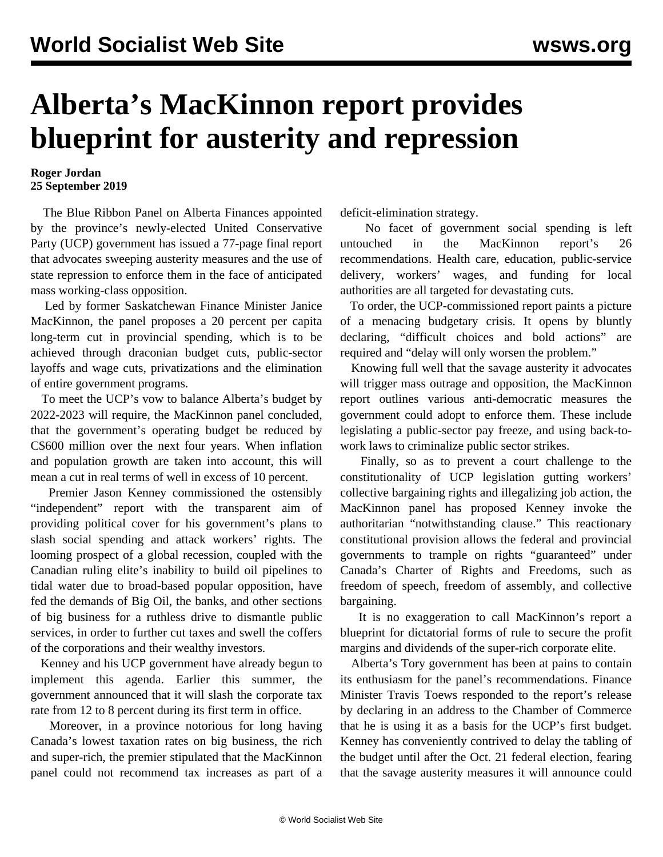## **Alberta's MacKinnon report provides blueprint for austerity and repression**

## **Roger Jordan 25 September 2019**

 The Blue Ribbon Panel on Alberta Finances appointed by the province's newly-elected United Conservative Party (UCP) government has issued a 77-page final report that advocates sweeping austerity measures and the use of state repression to enforce them in the face of anticipated mass working-class opposition.

 Led by former Saskatchewan Finance Minister Janice MacKinnon, the panel proposes a 20 percent per capita long-term cut in provincial spending, which is to be achieved through draconian budget cuts, public-sector layoffs and wage cuts, privatizations and the elimination of entire government programs.

 To meet the UCP's vow to balance Alberta's budget by 2022-2023 will require, the MacKinnon panel concluded, that the government's operating budget be reduced by C\$600 million over the next four years. When inflation and population growth are taken into account, this will mean a cut in real terms of well in excess of 10 percent.

 Premier Jason Kenney commissioned the ostensibly "independent" report with the transparent aim of providing political cover for his government's plans to slash social spending and attack workers' rights. The looming prospect of a global recession, coupled with the Canadian ruling elite's inability to build oil pipelines to tidal water due to broad-based popular opposition, have fed the demands of Big Oil, the banks, and other sections of big business for a ruthless drive to dismantle public services, in order to further cut taxes and swell the coffers of the corporations and their wealthy investors.

 Kenney and his UCP government have already begun to implement this agenda. Earlier this summer, the government announced that it will slash the corporate tax rate from 12 to 8 percent during its first term in office.

 Moreover, in a province notorious for long having Canada's lowest taxation rates on big business, the rich and super-rich, the premier stipulated that the MacKinnon panel could not recommend tax increases as part of a deficit-elimination strategy.

 No facet of government social spending is left untouched in the MacKinnon report's 26 recommendations. Health care, education, public-service delivery, workers' wages, and funding for local authorities are all targeted for devastating cuts.

 To order, the UCP-commissioned report paints a picture of a menacing budgetary crisis. It opens by bluntly declaring, "difficult choices and bold actions" are required and "delay will only worsen the problem."

 Knowing full well that the savage austerity it advocates will trigger mass outrage and opposition, the MacKinnon report outlines various anti-democratic measures the government could adopt to enforce them. These include legislating a public-sector pay freeze, and using back-towork laws to criminalize public sector strikes.

 Finally, so as to prevent a court challenge to the constitutionality of UCP legislation gutting workers' collective bargaining rights and illegalizing job action, the MacKinnon panel has proposed Kenney invoke the authoritarian "notwithstanding clause." This reactionary constitutional provision allows the federal and provincial governments to trample on rights "guaranteed" under Canada's Charter of Rights and Freedoms, such as freedom of speech, freedom of assembly, and collective bargaining.

 It is no exaggeration to call MacKinnon's report a blueprint for dictatorial forms of rule to secure the profit margins and dividends of the super-rich corporate elite.

 Alberta's Tory government has been at pains to contain its enthusiasm for the panel's recommendations. Finance Minister Travis Toews responded to the report's release by declaring in an address to the Chamber of Commerce that he is using it as a basis for the UCP's first budget. Kenney has conveniently contrived to delay the tabling of the budget until after the Oct. 21 federal election, fearing that the savage austerity measures it will announce could